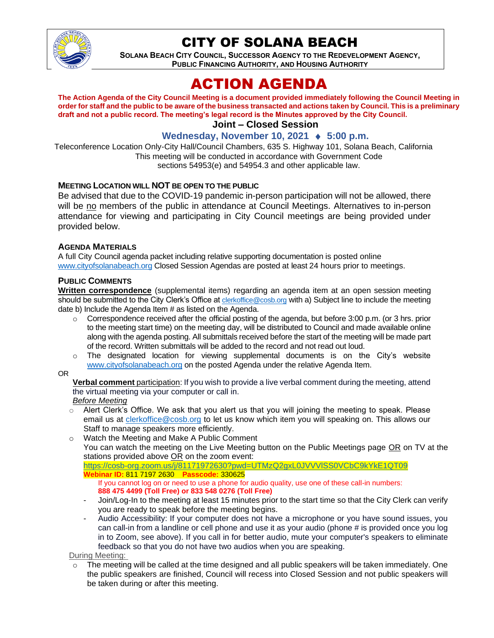

## CITY OF SOLANA BEACH

**SOLANA BEACH CITY COUNCIL, SUCCESSOR AGENCY TO THE REDEVELOPMENT AGENCY, PUBLIC FINANCING AUTHORITY, AND HOUSING AUTHORITY** 

# ACTION AGENDA

**The Action Agenda of the City Council Meeting is a document provided immediately following the Council Meeting in order for staff and the public to be aware of the business transacted and actions taken by Council. This is a preliminary draft and not a public record. The meeting's legal record is the Minutes approved by the City Council. Joint – Closed Session**

## **Wednesday, November 10, 2021 ♦ 5:00 p.m.**

Teleconference Location Only-City Hall/Council Chambers, 635 S. Highway 101, Solana Beach, California This meeting will be conducted in accordance with Government Code sections 54953(e) and 54954.3 and other applicable law.

### **MEETING LOCATION WILL NOT BE OPEN TO THE PUBLIC**

Be advised that due to the COVID-19 pandemic in-person participation will not be allowed, there will be no members of the public in attendance at Council Meetings. Alternatives to in-person attendance for viewing and participating in City Council meetings are being provided under provided below.

### **AGENDA MATERIALS**

A full City Council agenda packet including relative supporting documentation is posted online [www.cityofsolanabeach.org](https://urldefense.proofpoint.com/v2/url?u=http-3A__www.cityofsolanabeach.org&d=DwQFAg&c=euGZstcaTDllvimEN8b7jXrwqOf-v5A_CdpgnVfiiMM&r=1XAsCUuqwK_tji2t0s1uIQ&m=wny2RVfZJ2tN24LkqZmkUWNpwL_peNtTZUBlTBZiMM4&s=6ATguqxJUOD7VVtloplAbyuyNaVcEh6Fl4q1iw55lCY&e=) Closed Session Agendas are posted at least 24 hours prior to meetings.

#### **PUBLIC COMMENTS**

**Written correspondence** (supplemental items) regarding an agenda item at an open session meeting should be submitted to the City Clerk's Office at [clerkoffice@cosb.org](mailto:clerkoffice@cosb.org) with a) Subject line to include the meeting date b) Include the Agenda Item # as listed on the Agenda.

- $\circ$  Correspondence received after the official posting of the agenda, but before 3:00 p.m. (or 3 hrs. prior to the meeting start time) on the meeting day, will be distributed to Council and made available online along with the agenda posting. All submittals received before the start of the meeting will be made part of the record. Written submittals will be added to the record and not read out loud.
- $\circ$  The designated location for viewing supplemental documents is on the City's website [www.cityofsolanabeach.org](http://www.cityofsolanabeach.org/) on the posted Agenda under the relative Agenda Item.

OR

**Verbal comment** participation: If you wish to provide a live verbal comment during the meeting, attend the virtual meeting via your computer or call in.

#### *Before Meeting*

- $\circ$  Alert Clerk's Office. We ask that you alert us that you will joining the meeting to speak. Please email us at [clerkoffice@cosb.org](mailto:clerkoffice@cosb.org) to let us know which item you will speaking on. This allows our Staff to manage speakers more efficiently.
- o Watch the Meeting and Make A Public Comment You can watch the meeting on the Live Meeting button on the Public Meetings page OR on TV at the stations provided above  $OR$  on the zoom event: <https://cosb-org.zoom.us/j/81171972630?pwd=UTMzQ2gxL0JVVVlSS0VCbC9kYkE1QT09>

**Webinar ID:** 811 7197 2630 **Passcode:** 330625 If you cannot log on or need to use a phone for audio quality, use one of these call-in numbers: **888 475 4499 (Toll Free) or 833 548 0276 (Toll Free)**

- Join/Log-In to the meeting at least 15 minutes prior to the start time so that the City Clerk can verify you are ready to speak before the meeting begins.
- Audio Accessibility: If your computer does not have a microphone or you have sound issues, you can call-in from a landline or cell phone and use it as your audio (phone # is provided once you log in to Zoom, see above). If you call in for better audio, mute your computer's speakers to eliminate feedback so that you do not have two audios when you are speaking.

During Meeting:

 $\circ$  The meeting will be called at the time designed and all public speakers will be taken immediately. One the public speakers are finished, Council will recess into Closed Session and not public speakers will be taken during or after this meeting.